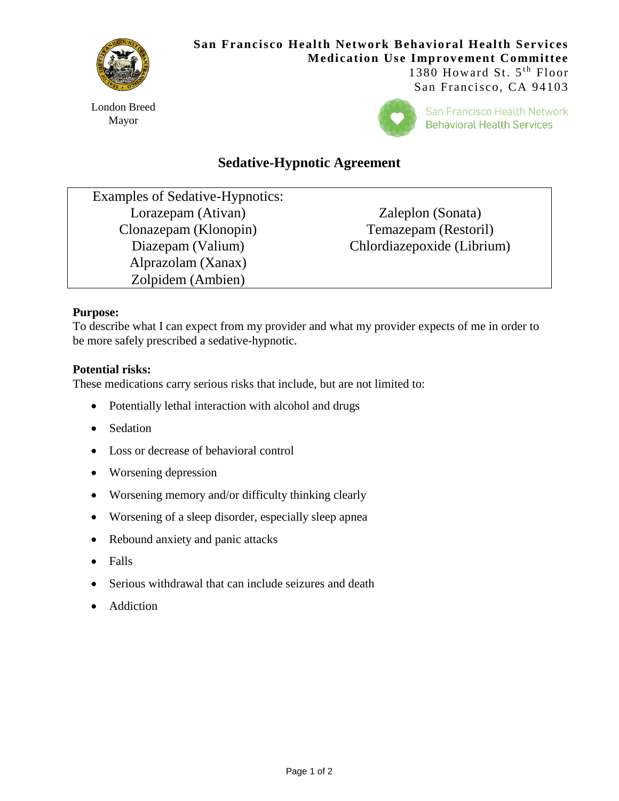

London Breed Mayor

# **San Francisco Health Network Behavioral Health Services Medication Use Improvement Committee** 1380 Howard St.  $5<sup>th</sup>$  Floor

San Francisco, CA 94103



San Francisco Health Network **Behavioral Health Services** 

# **Sedative-Hypnotic Agreement**

Examples of Sedative-Hypnotics: Lorazepam (Ativan) Clonazepam (Klonopin) Diazepam (Valium) Alprazolam (Xanax) Zolpidem (Ambien)

Zaleplon (Sonata) Temazepam (Restoril) Chlordiazepoxide (Librium)

#### **Purpose:**

To describe what I can expect from my provider and what my provider expects of me in order to be more safely prescribed a sedative-hypnotic.

#### **Potential risks:**

These medications carry serious risks that include, but are not limited to:

- Potentially lethal interaction with alcohol and drugs
- Sedation
- Loss or decrease of behavioral control
- Worsening depression
- Worsening memory and/or difficulty thinking clearly
- Worsening of a sleep disorder, especially sleep apnea
- Rebound anxiety and panic attacks
- Falls
- Serious withdrawal that can include seizures and death
- Addiction